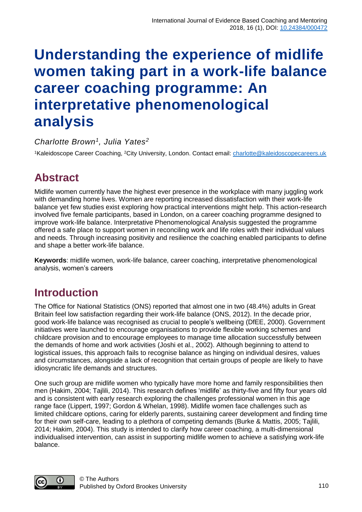# **Understanding the experience of midlife women taking part in a work-life balance career coaching programme: An interpretative phenomenological analysis**

*Charlotte Brown<sup>1</sup> , Julia Yates<sup>2</sup>*

<sup>1</sup>Kaleidoscope Career Coaching, <sup>2</sup>City University, London. Contact email: <u>charlotte@kaleidoscopecareers.uk</u>

## **Abstract**

Midlife women currently have the highest ever presence in the workplace with many juggling work with demanding home lives. Women are reporting increased dissatisfaction with their work-life balance yet few studies exist exploring how practical interventions might help. This action-research involved five female participants, based in London, on a career coaching programme designed to improve work-life balance. Interpretative Phenomenological Analysis suggested the programme offered a safe place to support women in reconciling work and life roles with their individual values and needs. Through increasing positivity and resilience the coaching enabled participants to define and shape a better work-life balance.

**Keywords**: midlife women, work-life balance, career coaching, interpretative phenomenological analysis, women's careers

## **Introduction**

The Office for National Statistics (ONS) reported that almost one in two (48.4%) adults in Great Britain feel low satisfaction regarding their work-life balance (ONS, 2012). In the decade prior, good work-life balance was recognised as crucial to people's wellbeing (DfEE, 2000). Government initiatives were launched to encourage organisations to provide flexible working schemes and childcare provision and to encourage employees to manage time allocation successfully between the demands of home and work activities (Joshi et al., 2002). Although beginning to attend to logistical issues, this approach fails to recognise balance as hinging on individual desires, values and circumstances, alongside a lack of recognition that certain groups of people are likely to have idiosyncratic life demands and structures.

One such group are midlife women who typically have more home and family responsibilities then men (Hakim, 2004; Tajlili, 2014). This research defines 'midlife' as thirty-five and fifty four years old and is consistent with early research exploring the challenges professional women in this age range face (Lippert, 1997; Gordon & Whelan, 1998). Midlife women face challenges such as limited childcare options, caring for elderly parents, sustaining career development and finding time for their own self-care, leading to a plethora of competing demands (Burke & Mattis, 2005; Tajlili, 2014; Hakim, 2004). This study is intended to clarify how career coaching, a multi-dimensional individualised intervention, can assist in supporting midlife women to achieve a satisfying work-life balance.

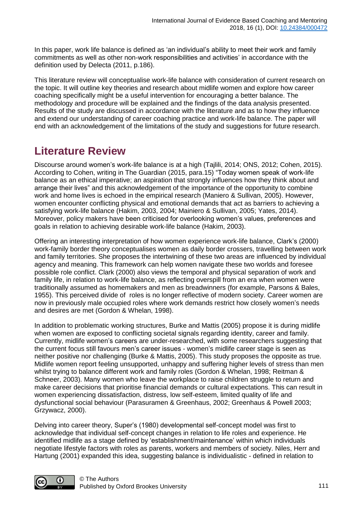In this paper, work life balance is defined as 'an individual's ability to meet their work and family commitments as well as other non-work responsibilities and activities' in accordance with the definition used by Delecta (2011, p.186).

This literature review will conceptualise work-life balance with consideration of current research on the topic. It will outline key theories and research about midlife women and explore how career coaching specifically might be a useful intervention for encouraging a better balance. The methodology and procedure will be explained and the findings of the data analysis presented. Results of the study are discussed in accordance with the literature and as to how they influence and extend our understanding of career coaching practice and work-life balance. The paper will end with an acknowledgement of the limitations of the study and suggestions for future research.

## **Literature Review**

Discourse around women's work-life balance is at a high (Tajlili, 2014; ONS, 2012; Cohen, 2015). According to Cohen, writing in The Guardian (2015, para.15) "Today women speak of work-life balance as an ethical imperative; an aspiration that strongly influences how they think about and arrange their lives" and this acknowledgement of the importance of the opportunity to combine work and home lives is echoed in the empirical research (Maniero & Sullivan, 2005). However, women encounter conflicting physical and emotional demands that act as barriers to achieving a satisfying work-life balance (Hakim, 2003, 2004; Mainiero & Sullivan, 2005; Yates, 2014). Moreover, policy makers have been criticised for overlooking women's values, preferences and goals in relation to achieving desirable work-life balance (Hakim, 2003).

Offering an interesting interpretation of how women experience work-life balance, Clark's (2000) work-family border theory conceptualises women as daily border crossers, travelling between work and family territories. She proposes the intertwining of these two areas are influenced by individual agency and meaning. This framework can help women navigate these two worlds and foresee possible role conflict. Clark (2000) also views the temporal and physical separation of work and family life, in relation to work-life balance, as reflecting overspill from an era when women were traditionally assumed as homemakers and men as breadwinners (for example, Parsons & Bales, 1955). This perceived divide of roles is no longer reflective of modern society. Career women are now in previously male occupied roles where work demands restrict how closely women's needs and desires are met (Gordon & Whelan, 1998).

In addition to problematic working structures, Burke and Mattis (2005) propose it is during midlife when women are exposed to conflicting societal signals regarding identity, career and family. Currently, midlife women's careers are under-researched, with some researchers suggesting that the current focus still favours men's career issues - women's midlife career stage is seen as neither positive nor challenging (Burke & Mattis, 2005). This study proposes the opposite as true. Midlife women report feeling unsupported, unhappy and suffering higher levels of stress than men whilst trying to balance different work and family roles (Gordon & Whelan, 1998; Reitman & Schneer, 2003). Many women who leave the workplace to raise children struggle to return and make career decisions that prioritise financial demands or cultural expectations. This can result in women experiencing dissatisfaction, distress, low self-esteem, limited quality of life and dysfunctional social behaviour (Parasuramen & Greenhaus, 2002; Greenhaus & Powell 2003; Grzywacz, 2000).

Delving into career theory, Super's (1980) developmental self-concept model was first to acknowledge that individual self-concept changes in relation to life roles and experience. He identified midlife as a stage defined by 'establishment/maintenance' within which individuals negotiate lifestyle factors with roles as parents, workers and members of society. Niles, Herr and Hartung (2001) expanded this idea, suggesting balance is individualistic - defined in relation to

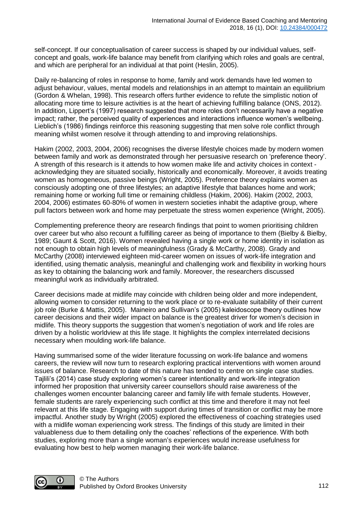self-concept. If our conceptualisation of career success is shaped by our individual values, selfconcept and goals, work-life balance may benefit from clarifying which roles and goals are central, and which are peripheral for an individual at that point (Heslin, 2005).

Daily re-balancing of roles in response to home, family and work demands have led women to adjust behaviour, values, mental models and relationships in an attempt to maintain an equilibrium (Gordon & Whelan, 1998). This research offers further evidence to refute the simplistic notion of allocating more time to leisure activities is at the heart of achieving fulfilling balance (ONS, 2012). In addition, Lippert's (1997) research suggested that more roles don't necessarily have a negative impact; rather, the perceived quality of experiences and interactions influence women's wellbeing. Lieblich's (1986) findings reinforce this reasoning suggesting that men solve role conflict through meaning whilst women resolve it through attending to and improving relationships.

Hakim (2002, 2003, 2004, 2006) recognises the diverse lifestyle choices made by modern women between family and work as demonstrated through her persuasive research on 'preference theory'. A strength of this research is it attends to how women make life and activity choices in context acknowledging they are situated socially, historically and economically. Moreover, it avoids treating women as homogeneous, passive beings (Wright, 2005). Preference theory explains women as consciously adopting one of three lifestyles; an adaptive lifestyle that balances home and work; remaining home or working full time or remaining childless (Hakim, 2006). Hakim (2002, 2003, 2004, 2006) estimates 60-80% of women in western societies inhabit the adaptive group, where pull factors between work and home may perpetuate the stress women experience (Wright, 2005).

Complementing preference theory are research findings that point to women prioritising children over career but who also recount a fulfilling career as being of importance to them (Bielby & Bielby, 1989; Gaunt & Scott, 2016). Women revealed having a single work or home identity in isolation as not enough to obtain high levels of meaningfulness (Grady & McCarthy, 2008). Grady and McCarthy (2008) interviewed eighteen mid-career women on issues of work-life integration and identified, using thematic analysis, meaningful and challenging work and flexibility in working hours as key to obtaining the balancing work and family. Moreover, the researchers discussed meaningful work as individually arbitrated.

Career decisions made at midlife may coincide with children being older and more independent, allowing women to consider returning to the work place or to re-evaluate suitability of their current job role (Burke & Mattis, 2005). Maineiro and Sullivan's (2005) kaleidoscope theory outlines how career decisions and their wider impact on balance is the greatest driver for women's decision in midlife. This theory supports the suggestion that women's negotiation of work and life roles are driven by a holistic worldview at this life stage. It highlights the complex interrelated decisions necessary when moulding work-life balance.

Having summarised some of the wider literature focussing on work-life balance and womens careers, the review will now turn to research exploring practical interventions with women around issues of balance. Research to date of this nature has tended to centre on single case studies. Tajlili's (2014) case study exploring women's career intentionality and work-life integration informed her proposition that university career counsellors should raise awareness of the challenges women encounter balancing career and family life with female students. However, female students are rarely experiencing such conflict at this time and therefore it may not feel relevant at this life stage. Engaging with support during times of transition or conflict may be more impactful. Another study by Wright (2005) explored the effectiveness of coaching strategies used with a midlife woman experiencing work stress. The findings of this study are limited in their valuableness due to them detailing only the coaches' reflections of the experience. With both studies, exploring more than a single woman's experiences would increase usefulness for evaluating how best to help women managing their work-life balance.

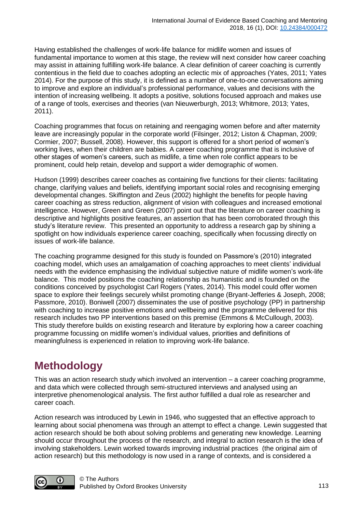Having established the challenges of work-life balance for midlife women and issues of fundamental importance to women at this stage, the review will next consider how career coaching may assist in attaining fulfilling work-life balance. A clear definition of career coaching is currently contentious in the field due to coaches adopting an eclectic mix of approaches (Yates, 2011; Yates 2014). For the purpose of this study, it is defined as a number of one-to-one conversations aiming to improve and explore an individual's professional performance, values and decisions with the intention of increasing wellbeing. It adopts a positive, solutions focused approach and makes use of a range of tools, exercises and theories (van Nieuwerburgh, 2013; Whitmore, 2013; Yates, 2011).

Coaching programmes that focus on retaining and reengaging women before and after maternity leave are increasingly popular in the corporate world (Filsinger, 2012; Liston & Chapman, 2009; Cormier, 2007; Bussell, 2008). However, this support is offered for a short period of women's working lives, when their children are babies. A career coaching programme that is inclusive of other stages of women's careers, such as midlife, a time when role conflict appears to be prominent, could help retain, develop and support a wider demographic of women.

Hudson (1999) describes career coaches as containing five functions for their clients: facilitating change, clarifying values and beliefs, identifying important social roles and recognising emerging developmental changes. Skiffington and Zeus (2002) highlight the benefits for people having career coaching as stress reduction, alignment of vision with colleagues and increased emotional intelligence. However, Green and Green (2007) point out that the literature on career coaching is descriptive and highlights positive features, an assertion that has been corroborated through this study's literature review. This presented an opportunity to address a research gap by shining a spotlight on how individuals experience career coaching, specifically when focussing directly on issues of work-life balance.

The coaching programme designed for this study is founded on Passmore's (2010) integrated coaching model, which uses an amalgamation of coaching approaches to meet clients' individual needs with the evidence emphasising the individual subjective nature of midlife women's work-life balance. This model positions the coaching relationship as humanistic and is founded on the conditions conceived by psychologist Carl Rogers (Yates, 2014). This model could offer women space to explore their feelings securely whilst promoting change (Bryant-Jefferies & Joseph, 2008; Passmore, 2010). Boniwell (2007) disseminates the use of positive psychology (PP) in partnership with coaching to increase positive emotions and wellbeing and the programme delivered for this research includes two PP interventions based on this premise (Emmons & McCullough, 2003). This study therefore builds on existing research and literature by exploring how a career coaching programme focussing on midlife women's individual values, priorities and definitions of meaningfulness is experienced in relation to improving work-life balance.

## **Methodology**

This was an action research study which involved an intervention – a career coaching programme, and data which were collected through semi-structured interviews and analysed using an interpretive phenomenological analysis. The first author fulfilled a dual role as researcher and career coach.

Action research was introduced by Lewin in 1946, who suggested that an effective approach to learning about social phenomena was through an attempt to effect a change. Lewin suggested that action research should be both about solving problems and generating new knowledge. Learning should occur throughout the process of the research, and integral to action research is the idea of involving stakeholders. Lewin worked towards improving industrial practices (the original aim of action research) but this methodology is now used in a range of contexts, and is considered a

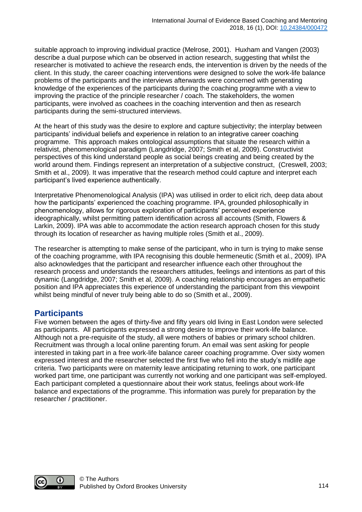suitable approach to improving individual practice (Melrose, 2001). Huxham and Vangen (2003) describe a dual purpose which can be observed in action research, suggesting that whilst the researcher is motivated to achieve the research ends, the intervention is driven by the needs of the client. In this study, the career coaching interventions were designed to solve the work-life balance problems of the participants and the interviews afterwards were concerned with generating knowledge of the experiences of the participants during the coaching programme with a view to improving the practice of the principle researcher / coach. The stakeholders, the women participants, were involved as coachees in the coaching intervention and then as research participants during the semi-structured interviews.

At the heart of this study was the desire to explore and capture subjectivity; the interplay between participants' individual beliefs and experience in relation to an integrative career coaching programme. This approach makes ontological assumptions that situate the research within a relativist, phenomenological paradigm (Langdridge, 2007; Smith et al, 2009). Constructivist perspectives of this kind understand people as social beings creating and being created by the world around them. Findings represent an interpretation of a subjective construct, (Creswell, 2003; Smith et al., 2009). It was imperative that the research method could capture and interpret each participant's lived experience authentically.

Interpretative Phenomenological Analysis (IPA) was utilised in order to elicit rich, deep data about how the participants' experienced the coaching programme. IPA, grounded philosophically in phenomenology, allows for rigorous exploration of participants' perceived experience ideographically, whilst permitting pattern identification across all accounts (Smith, Flowers & Larkin, 2009). IPA was able to accommodate the action research approach chosen for this study through its location of researcher as having multiple roles (Smith et al., 2009).

The researcher is attempting to make sense of the participant, who in turn is trying to make sense of the coaching programme, with IPA recognising this double hermeneutic (Smith et al., 2009). IPA also acknowledges that the participant and researcher influence each other throughout the research process and understands the researchers attitudes, feelings and intentions as part of this dynamic (Langdridge, 2007; Smith et al, 2009). A coaching relationship encourages an empathetic position and IPA appreciates this experience of understanding the participant from this viewpoint whilst being mindful of never truly being able to do so (Smith et al., 2009).

### **Participants**

Five women between the ages of thirty-five and fifty years old living in East London were selected as participants. All participants expressed a strong desire to improve their work-life balance. Although not a pre-requisite of the study, all were mothers of babies or primary school children. Recruitment was through a local online parenting forum. An email was sent asking for people interested in taking part in a free work-life balance career coaching programme. Over sixty women expressed interest and the researcher selected the first five who fell into the study's midlife age criteria. Two participants were on maternity leave anticipating returning to work, one participant worked part time, one participant was currently not working and one participant was self-employed. Each participant completed a questionnaire about their work status, feelings about work-life balance and expectations of the programme. This information was purely for preparation by the researcher / practitioner.

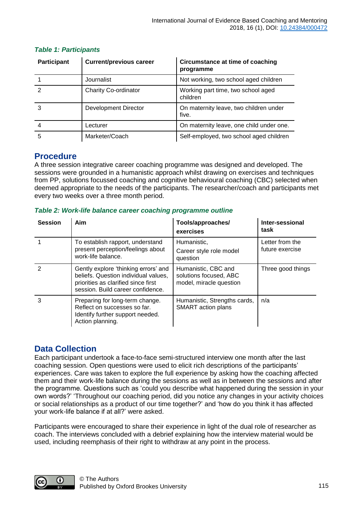| <b>Participant</b> | <b>Current/previous career</b> | <b>Circumstance at time of coaching</b><br>programme |
|--------------------|--------------------------------|------------------------------------------------------|
|                    | Journalist                     | Not working, two school aged children                |
| 2                  | <b>Charity Co-ordinator</b>    | Working part time, two school aged<br>children       |
| 3                  | Development Director           | On maternity leave, two children under<br>five.      |
|                    | Lecturer                       | On maternity leave, one child under one.             |
| 5                  | Marketer/Coach                 | Self-employed, two school aged children              |

#### *Table 1: Participants*

### **Procedure**

A three session integrative career coaching programme was designed and developed. The sessions were grounded in a humanistic approach whilst drawing on exercises and techniques from PP, solutions focussed coaching and cognitive behavioural coaching (CBC) selected when deemed appropriate to the needs of the participants. The researcher/coach and participants met every two weeks over a three month period.

#### *Table 2: Work-life balance career coaching programme outline*

| <b>Session</b> | Aim                                                                                                                                                      | Tools/approaches/<br>exercises                                           | Inter-sessional<br>task            |
|----------------|----------------------------------------------------------------------------------------------------------------------------------------------------------|--------------------------------------------------------------------------|------------------------------------|
|                | To establish rapport, understand<br>present perception/feelings about<br>work-life balance.                                                              | Humanistic,<br>Career style role model<br>question                       | Letter from the<br>future exercise |
| 2              | Gently explore 'thinking errors' and<br>beliefs. Question individual values,<br>priorities as clarified since first<br>session. Build career confidence. | Humanistic, CBC and<br>solutions focused, ABC<br>model, miracle question | Three good things                  |
| 3              | Preparing for long-term change.<br>Reflect on successes so far.<br>Identify further support needed.<br>Action planning.                                  | Humanistic, Strengths cards,<br><b>SMART</b> action plans                | n/a                                |

## **Data Collection**

Each participant undertook a face-to-face semi-structured interview one month after the last coaching session. Open questions were used to elicit rich descriptions of the participants' experiences. Care was taken to explore the full experience by asking how the coaching affected them and their work-life balance during the sessions as well as in between the sessions and after the programme. Questions such as 'could you describe what happened during the session in your own words?' 'Throughout our coaching period, did you notice any changes in your activity choices or social relationships as a product of our time together?' and 'how do you think it has affected your work-life balance if at all?' were asked.

Participants were encouraged to share their experience in light of the dual role of researcher as coach. The interviews concluded with a debrief explaining how the interview material would be used, including reemphasis of their right to withdraw at any point in the process.

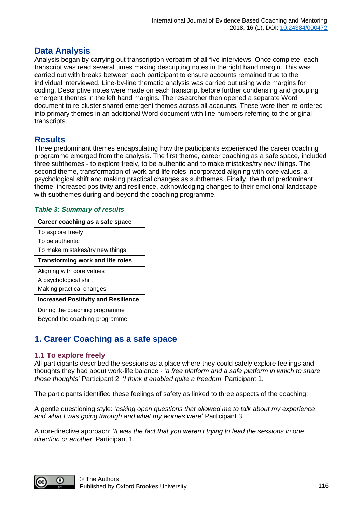## **Data Analysis**

Analysis began by carrying out transcription verbatim of all five interviews. Once complete, each transcript was read several times making descripting notes in the right hand margin. This was carried out with breaks between each participant to ensure accounts remained true to the individual interviewed. Line-by-line thematic analysis was carried out using wide margins for coding. Descriptive notes were made on each transcript before further condensing and grouping emergent themes in the left hand margins. The researcher then opened a separate Word document to re-cluster shared emergent themes across all accounts. These were then re-ordered into primary themes in an additional Word document with line numbers referring to the original transcripts.

### **Results**

Three predominant themes encapsulating how the participants experienced the career coaching programme emerged from the analysis. The first theme, career coaching as a safe space, included three subthemes - to explore freely, to be authentic and to make mistakes/try new things. The second theme, transformation of work and life roles incorporated aligning with core values, a psychological shift and making practical changes as subthemes. Finally, the third predominant theme, increased positivity and resilience, acknowledging changes to their emotional landscape with subthemes during and beyond the coaching programme.

#### *Table 3: Summary of results*

#### **Career coaching as a safe space**

To explore freely To be authentic To make mistakes/try new things

#### **Transforming work and life roles**

Aligning with core values A psychological shift Making practical changes

#### **Increased Positivity and Resilience**

During the coaching programme Beyond the coaching programme

## **1. Career Coaching as a safe space**

#### **1.1 To explore freely**

All participants described the sessions as a place where they could safely explore feelings and thoughts they had about work-life balance - '*a free platform and a safe platform in which to share those thoughts*' Participant 2. '*I think it enabled quite a freedom*' Participant 1.

The participants identified these feelings of safety as linked to three aspects of the coaching:

A gentle questioning style: '*asking open questions that allowed me to talk about my experience and what I was going through and what my worries were*' Participant 3.

A non-directive approach: '*It was the fact that you weren't trying to lead the sessions in one direction or another*' Participant 1.

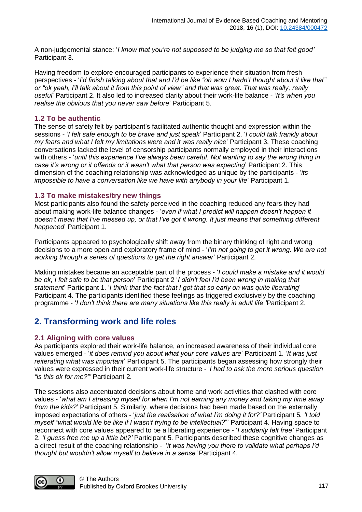A non-judgemental stance: '*I know that you're not supposed to be judging me so that felt good'* Participant 3.

Having freedom to explore encouraged participants to experience their situation from fresh perspectives - '*I'd finish talking about that and I'd be like "oh wow I hadn't thought about it like that" or "ok yeah, I'll talk about it from this point of view" and that was great. That was really, really useful*' Participant 2. It also led to increased clarity about their work-life balance - '*It's when you realise the obvious that you never saw before*' Participant 5.

#### **1.2 To be authentic**

The sense of safety felt by participant's facilitated authentic thought and expression within the sessions - '*I felt safe enough to be brave and just speak*' Participant 2. '*I could talk frankly about my fears and what I felt my limitations were and it was really nice*' Participant 3. These coaching conversations lacked the level of censorship participants normally employed in their interactions with others - '*until this experience I've always been careful. Not wanting to say the wrong thing in case it's wrong or it offends or it wasn't what that person was expecting*' Participant 2. This dimension of the coaching relationship was acknowledged as unique by the participants - '*its impossible to have a conversation like we have with anybody in your life*' Participant 1.

#### **1.3 To make mistakes/try new things**

Most participants also found the safety perceived in the coaching reduced any fears they had about making work-life balance changes - '*even if what I predict will happen doesn't happen it doesn't mean that I've messed up, or that I've got it wrong. It just means that something different happened*' Participant 1.

Participants appeared to psychologically shift away from the binary thinking of right and wrong decisions to a more open and exploratory frame of mind - '*I'm not going to get it wrong. We are not working through a series of questions to get the right answer*' Participant 2.

Making mistakes became an acceptable part of the process - '*I could make a mistake and it would be ok, I felt safe to be that person*' Participant 2 '*I didn't feel I'd been wrong in making that statement*' Participant 1. '*I think that the fact that I got that so early on was quite liberating*' Participant 4. The participants identified these feelings as triggered exclusively by the coaching programme - '*I don't think there are many situations like this really in adult life '*Participant 2.

## **2. Transforming work and life roles**

#### **2.1 Aligning with core values**

As participants explored their work-life balance, an increased awareness of their individual core values emerged - '*it does remind you about what your core values are*' Participant 1. '*It was just reiterating what was important*' Participant 5. The participants began assessing how strongly their values were expressed in their current work-life structure - '*I had to ask the more serious question "is this ok for me?"'* Participant 2*.*

The sessions also accentuated decisions about home and work activities that clashed with core values - '*what am I stressing myself for when I'm not earning any money and taking my time away from the kids?*' Participant 5. Similarly, where decisions had been made based on the externally imposed expectations of others - '*just the realisation of what I'm doing it for?'* Participant 5*. 'I told myself "what would life be like if I wasn't trying to be intellectual?*"' Participant 4. Having space to reconnect with core values appeared to be a liberating experience - '*I suddenly felt free'* Participant 2*. 'I guess free me up a little bit?'* Participant 5*.* Participants described these cognitive changes as a direct result of the coaching relationship - '*it was having you there to validate what perhaps I'd thought but wouldn't allow myself to believe in a sense'* Participant 4*.*



© The Authors Published by Oxford Brookes University 117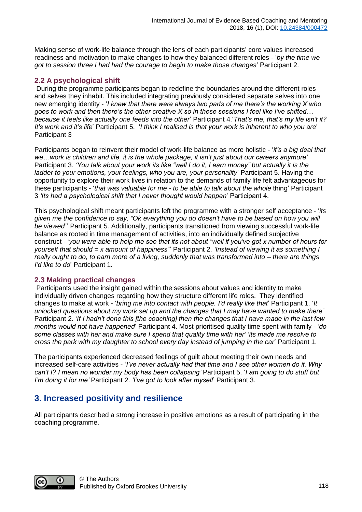Making sense of work-life balance through the lens of each participants' core values increased readiness and motivation to make changes to how they balanced different roles - '*by the time we got to session three I had had the courage to begin to make those changes*' Participant 2.

#### **2.2 A psychological shift**

During the programme participants began to redefine the boundaries around the different roles and selves they inhabit. This included integrating previously considered separate selves into one new emerging identity - '*I knew that there were always two parts of me there's the working X who goes to work and then there's the other creative X so in these sessions I feel like I've shifted… because it feels like actually one feeds into the other*' Participant 4.'*That's me, that's my life isn't it? It's work and it's life*' Participant 5. '*I think I realised is that your work is inherent to who you are*' Participant 3

Participants began to reinvent their model of work-life balance as more holistic - '*it's a big deal that we…work is children and life, it is the whole package, it isn't just about our careers anymore'* Participant 3*. 'You talk about your work its like "well I do it, I earn money" but actually it is the ladder to your emotions, your feelings, who you are, your personality*' Participant 5. Having the opportunity to explore their work lives in relation to the demands of family life felt advantageous for these participants - '*that was valuable for me - to be able to talk about the whole* thing' Participant 3 *'Its had a psychological shift that I never thought would happen*' Participant 4.

This psychological shift meant participants left the programme with a stronger self acceptance - '*its given me the confidence to say, "Ok everything you do doesn't have to be based on how you will be viewed"*' Participant 5. Additionally, participants transitioned from viewing successful work-life balance as rooted in time management of activities, into an individually defined subjective construct - '*you were able to help me see that its not about "well if you've got x number of hours for yourself that should = x amount of happiness*"' Participant 2. *'Instead of viewing it as something I really ought to do, to earn more of a living, suddenly that was transformed into – there are things I'd like to do*' Participant 1.

#### **2.3 Making practical changes**

Participants used the insight gained within the sessions about values and identity to make individually driven changes regarding how they structure different life roles. They identified changes to make at work - '*bring me into contact with people. I'd really like that*' Participant 1. '*It unlocked questions about my work set up and the changes that I may have wanted to make there'* Participant 2. *'If I hadn't done this [the coaching] then the changes that I have made in the last few months would not have happened*' Participant 4. Most prioritised quality time spent with family - '*do some classes with her and make sure I spend that quality time with her' 'its made me resolve to cross the park with my daughter to school every day instead of jumping in the car*' Participant 1.

The participants experienced decreased feelings of guilt about meeting their own needs and increased self-care activities - '*I've never actually had that time and I see other women do it. Why can't I? I mean no wonder my body has been collapsing'* Participant 5. '*I am going to do stuff but I'm doing it for me' Participant 2. 'I've got to look after myself* Participant 3.

## **3. Increased positivity and resilience**

All participants described a strong increase in positive emotions as a result of participating in the coaching programme.

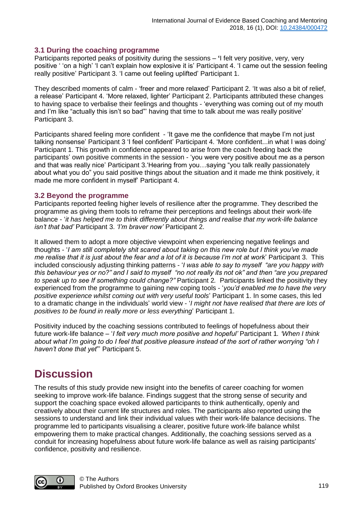#### **3.1 During the coaching programme**

Participants reported peaks of positivity during the sessions – **'**I felt very positive, very, very positive ' 'on a high' 'I can't explain how explosive it is' Participant 4. 'I came out the session feeling really positive' Participant 3. 'I came out feeling uplifted' Participant 1.

They described moments of calm - 'freer and more relaxed' Participant 2. 'It was also a bit of relief, a release' Participant 4. 'More relaxed, lighter' Participant 2. Participants attributed these changes to having space to verbalise their feelings and thoughts - 'everything was coming out of my mouth and I'm like "actually this isn't so bad" having that time to talk about me was really positive' Participant 3.

Participants shared feeling more confident - 'It gave me the confidence that maybe I'm not just talking nonsense' Participant 3 'I feel confident' Participant 4. 'More confident...in what I was doing' Participant 1. This growth in confidence appeared to arise from the coach feeding back the participants' own positive comments in the session - 'you were very positive about me as a person and that was really nice' Participant 3.'Hearing from you…saying "you talk really passionately about what you do" you said positive things about the situation and it made me think positively, it made me more confident in myself' Participant 4.

#### **3.2 Beyond the programme**

Participants reported feeling higher levels of resilience after the programme. They described the programme as giving them tools to reframe their perceptions and feelings about their work-life balance - '*it has helped me to think differently about things and realise that my work-life balance isn't that bad'* Participant 3. *'I'm braver now'* Participant 2.

It allowed them to adopt a more objective viewpoint when experiencing negative feelings and thoughts - '*I am still completely shit scared about taking on this new role but I think you've made me realise that it is just about the fear and a lot of it is because I'm not at work*' Participant 3. This included consciously adjusting thinking patterns - '*I was able to say to myself "are you happy with this behaviour yes or no?" and I said to myself "no not really its not ok" and then "are you prepared to speak up to see If something could change?"* Participant 2*.* Participants linked the positivity they experienced from the programme to gaining new coping tools - '*you'd enabled me to have the very positive experience whilst coming out with very useful tools*' Participant 1. In some cases, this led to a dramatic change in the individuals' world view - '*I might not have realised that there are lots of positives to be found in really more or less everything*' Participant 1.

Positivity induced by the coaching sessions contributed to feelings of hopefulness about their future work-life balance – '*I felt very much more positive and hopeful'* Participant 1*. 'When I think about what I'm going to do I feel that positive pleasure instead of the sort of rather worrying "oh I haven't done that yet*"' Participant 5.

## **Discussion**

The results of this study provide new insight into the benefits of career coaching for women seeking to improve work-life balance. Findings suggest that the strong sense of security and support the coaching space evoked allowed participants to think authentically, openly and creatively about their current life structures and roles. The participants also reported using the sessions to understand and link their individual values with their work-life balance decisions. The programme led to participants visualising a clearer, positive future work-life balance whilst empowering them to make practical changes. Additionally, the coaching sessions served as a conduit for increasing hopefulness about future work-life balance as well as raising participants' confidence, positivity and resilience.

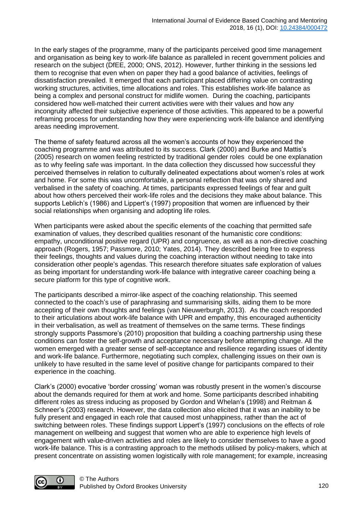In the early stages of the programme, many of the participants perceived good time management and organisation as being key to work-life balance as paralleled in recent government policies and research on the subject (DfEE, 2000; ONS, 2012). However, further thinking in the sessions led them to recognise that even when on paper they had a good balance of activities, feelings of dissatisfaction prevailed. It emerged that each participant placed differing value on contrasting working structures, activities, time allocations and roles. This establishes work-life balance as being a complex and personal construct for midlife women. During the coaching, participants considered how well-matched their current activities were with their values and how any incongruity affected their subjective experience of those activities. This appeared to be a powerful reframing process for understanding how they were experiencing work-life balance and identifying areas needing improvement.

The theme of safety featured across all the women's accounts of how they experienced the coaching programme and was attributed to its success. Clark (2000) and Burke and Mattis's (2005) research on women feeling restricted by traditional gender roles could be one explanation as to why feeling safe was important. In the data collection they discussed how successful they perceived themselves in relation to culturally delineated expectations about women's roles at work and home. For some this was uncomfortable, a personal reflection that was only shared and verbalised in the safety of coaching. At times, participants expressed feelings of fear and guilt about how others perceived their work-life roles and the decisions they make about balance. This supports Leblich's (1986) and Lippert's (1997) proposition that women are influenced by their social relationships when organising and adopting life roles.

When participants were asked about the specific elements of the coaching that permitted safe examination of values, they described qualities resonant of the humanistic core conditions: empathy, unconditional positive regard (UPR) and congruence, as well as a non-directive coaching approach (Rogers, 1957; Passmore, 2010; Yates, 2014). They described being free to express their feelings, thoughts and values during the coaching interaction without needing to take into consideration other people's agendas. This research therefore situates safe exploration of values as being important for understanding work-life balance with integrative career coaching being a secure platform for this type of cognitive work.

The participants described a mirror-like aspect of the coaching relationship. This seemed connected to the coach's use of paraphrasing and summarising skills, aiding them to be more accepting of their own thoughts and feelings (van Nieuwerburgh, 2013). As the coach responded to their articulations about work-life balance with UPR and empathy, this encouraged authenticity in their verbalisation, as well as treatment of themselves on the same terms. These findings strongly supports Passmore's (2010) proposition that building a coaching partnership using these conditions can foster the self-growth and acceptance necessary before attempting change. All the women emerged with a greater sense of self-acceptance and resilience regarding issues of identity and work-life balance. Furthermore, negotiating such complex, challenging issues on their own is unlikely to have resulted in the same level of positive change for participants compared to their experience in the coaching.

Clark's (2000) evocative 'border crossing' woman was robustly present in the women's discourse about the demands required for them at work and home. Some participants described inhabiting different roles as stress inducing as proposed by Gordon and Whelan's (1998) and Reitman & Schneer's (2003) research. However, the data collection also elicited that it was an inability to be fully present and engaged in each role that caused most unhappiness, rather than the act of switching between roles. These findings support Lippert's (1997) conclusions on the effects of role management on wellbeing and suggest that women who are able to experience high levels of engagement with value-driven activities and roles are likely to consider themselves to have a good work-life balance. This is a contrasting approach to the methods utilised by policy-makers, which at present concentrate on assisting women logistically with role management; for example, increasing

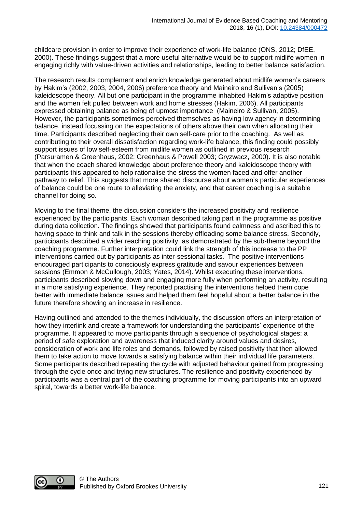childcare provision in order to improve their experience of work-life balance (ONS, 2012; DfEE, 2000). These findings suggest that a more useful alternative would be to support midlife women in engaging richly with value-driven activities and relationships, leading to better balance satisfaction.

The research results complement and enrich knowledge generated about midlife women's careers by Hakim's (2002, 2003, 2004, 2006) preference theory and Maineiro and Sullivan's (2005) kaleidoscope theory. All but one participant in the programme inhabited Hakim's adaptive position and the women felt pulled between work and home stresses (Hakim, 2006). All participants expressed obtaining balance as being of upmost importance (Maineiro & Sullivan, 2005). However, the participants sometimes perceived themselves as having low agency in determining balance, instead focussing on the expectations of others above their own when allocating their time. Participants described neglecting their own self-care prior to the coaching. As well as contributing to their overall dissatisfaction regarding work-life balance, this finding could possibly support issues of low self-esteem from midlife women as outlined in previous research (Parsuramen & Greenhaus, 2002; Greenhaus & Powell 2003; Gryzwacz, 2000). It is also notable that when the coach shared knowledge about preference theory and kaleidoscope theory with participants this appeared to help rationalise the stress the women faced and offer another pathway to relief. This suggests that more shared discourse about women's particular experiences of balance could be one route to alleviating the anxiety, and that career coaching is a suitable channel for doing so.

Moving to the final theme, the discussion considers the increased positivity and resilience experienced by the participants. Each woman described taking part in the programme as positive during data collection. The findings showed that participants found calmness and ascribed this to having space to think and talk in the sessions thereby offloading some balance stress. Secondly, participants described a wider reaching positivity, as demonstrated by the sub-theme beyond the coaching programme. Further interpretation could link the strength of this increase to the PP interventions carried out by participants as inter-sessional tasks. The positive interventions encouraged participants to consciously express gratitude and savour experiences between sessions (Emmon & McCullough, 2003; Yates, 2014). Whilst executing these interventions, participants described slowing down and engaging more fully when performing an activity, resulting in a more satisfying experience. They reported practising the interventions helped them cope better with immediate balance issues and helped them feel hopeful about a better balance in the future therefore showing an increase in resilience.

Having outlined and attended to the themes individually, the discussion offers an interpretation of how they interlink and create a framework for understanding the participants' experience of the programme. It appeared to move participants through a sequence of psychological stages: a period of safe exploration and awareness that induced clarity around values and desires, consideration of work and life roles and demands, followed by raised positivity that then allowed them to take action to move towards a satisfying balance within their individual life parameters. Some participants described repeating the cycle with adjusted behaviour gained from progressing through the cycle once and trying new structures. The resilience and positivity experienced by participants was a central part of the coaching programme for moving participants into an upward spiral, towards a better work-life balance.

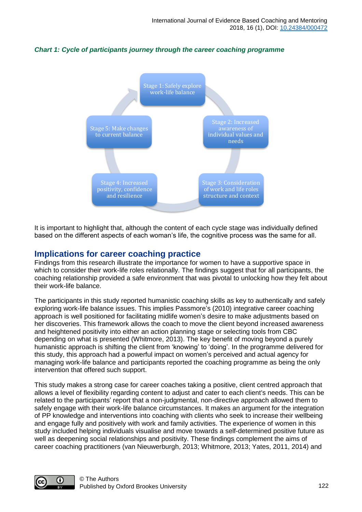



It is important to highlight that, although the content of each cycle stage was individually defined based on the different aspects of each woman's life, the cognitive process was the same for all.

#### **Implications for career coaching practice**

Findings from this research illustrate the importance for women to have a supportive space in which to consider their work-life roles relationally. The findings suggest that for all participants, the coaching relationship provided a safe environment that was pivotal to unlocking how they felt about their work-life balance.

The participants in this study reported humanistic coaching skills as key to authentically and safely exploring work-life balance issues. This implies Passmore's (2010) integrative career coaching approach is well positioned for facilitating midlife women's desire to make adjustments based on her discoveries. This framework allows the coach to move the client beyond increased awareness and heightened positivity into either an action planning stage or selecting tools from CBC depending on what is presented (Whitmore, 2013). The key benefit of moving beyond a purely humanistic approach is shifting the client from 'knowing' to 'doing'. In the programme delivered for this study, this approach had a powerful impact on women's perceived and actual agency for managing work-life balance and participants reported the coaching programme as being the only intervention that offered such support.

This study makes a strong case for career coaches taking a positive, client centred approach that allows a level of flexibility regarding content to adjust and cater to each client's needs. This can be related to the participants' report that a non-judgmental, non-directive approach allowed them to safely engage with their work-life balance circumstances. It makes an argument for the integration of PP knowledge and interventions into coaching with clients who seek to increase their wellbeing and engage fully and positively with work and family activities. The experience of women in this study included helping individuals visualise and move towards a self-determined positive future as well as deepening social relationships and positivity. These findings complement the aims of career coaching practitioners (van Nieuwerburgh, 2013; Whitmore, 2013; Yates, 2011, 2014) and

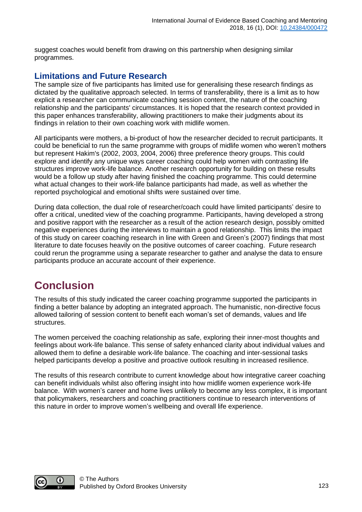suggest coaches would benefit from drawing on this partnership when designing similar programmes.

### **Limitations and Future Research**

The sample size of five participants has limited use for generalising these research findings as dictated by the qualitative approach selected. In terms of transferability, there is a limit as to how explicit a researcher can communicate coaching session content, the nature of the coaching relationship and the participants' circumstances. It is hoped that the research context provided in this paper enhances transferability, allowing practitioners to make their judgments about its findings in relation to their own coaching work with midlife women.

All participants were mothers, a bi-product of how the researcher decided to recruit participants. It could be beneficial to run the same programme with groups of midlife women who weren't mothers but represent Hakim's (2002, 2003, 2004, 2006) three preference theory groups. This could explore and identify any unique ways career coaching could help women with contrasting life structures improve work-life balance. Another research opportunity for building on these results would be a follow up study after having finished the coaching programme. This could determine what actual changes to their work-life balance participants had made, as well as whether the reported psychological and emotional shifts were sustained over time.

During data collection, the dual role of researcher/coach could have limited participants' desire to offer a critical, unedited view of the coaching programme. Participants, having developed a strong and positive rapport with the researcher as a result of the action research design, possibly omitted negative experiences during the interviews to maintain a good relationship. This limits the impact of this study on career coaching research in line with Green and Green's (2007) findings that most literature to date focuses heavily on the positive outcomes of career coaching. Future research could rerun the programme using a separate researcher to gather and analyse the data to ensure participants produce an accurate account of their experience.

## **Conclusion**

The results of this study indicated the career coaching programme supported the participants in finding a better balance by adopting an integrated approach. The humanistic, non-directive focus allowed tailoring of session content to benefit each woman's set of demands, values and life structures.

The women perceived the coaching relationship as safe, exploring their inner-most thoughts and feelings about work-life balance. This sense of safety enhanced clarity about individual values and allowed them to define a desirable work-life balance. The coaching and inter-sessional tasks helped participants develop a positive and proactive outlook resulting in increased resilience.

The results of this research contribute to current knowledge about how integrative career coaching can benefit individuals whilst also offering insight into how midlife women experience work-life balance. With women's career and home lives unlikely to become any less complex, it is important that policymakers, researchers and coaching practitioners continue to research interventions of this nature in order to improve women's wellbeing and overall life experience.

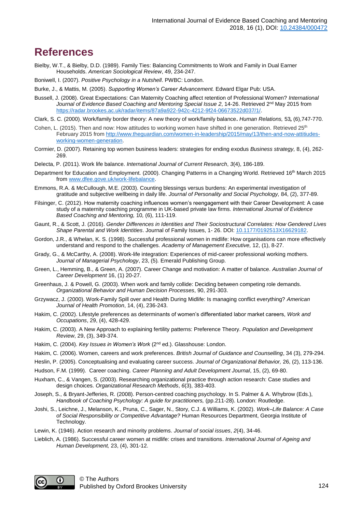## **References**

- Bielby, W.T., & Bielby, D.D. (1989). Family Ties: Balancing Commitments to Work and Family in Dual Earner Households. *American Sociological Review*, 49, 234-247.
- Boniwell, I. (2007). *Positive Psychology in a Nutshell*. PWBC: London.
- Burke, J., & Mattis, M. (2005). *Supporting Women's Career Advancement.* Edward Elgar Pub: USA.
- Bussell, J. (2008). Great Expectations: Can Maternity Coaching affect retention of Professional Women? *International Journal of Evidence Based Coaching and Mentoring Special Issue 2*, 14-26. Retrieved 2nd May 2015 from [https://radar.brookes.ac.uk/radar/items/87a9a922-942c-4212-9f24-06673522d037/1/.](https://radar.brookes.ac.uk/radar/items/87a9a922-942c-4212-9f24-06673522d037/1/)
- Clark, S. C. (2000). Work/family border theory: A new theory of work/family balance**.** *Human Relations,* 53*,* (6),747-770.
- Cohen, L. (2015). Then and now: How attitudes to working women have shifted in one generation. Retrieved  $25<sup>th</sup>$ February 2015 from [http://www.theguardian.com/women-in-leadership/2015/may/13/then-and-now-attitiudes](http://www.theguardian.com/women-in-leadership/2015/may/13/then-and-now-attitiudes-working-women-generation)[working-women-generation.](http://www.theguardian.com/women-in-leadership/2015/may/13/then-and-now-attitiudes-working-women-generation)
- Cormier, D. (2007). Retaining top women business leaders: strategies for ending exodus *Business strategy,* 8, (4), 262- 269.
- Delecta, P. (2011). Work life balance. *International Journal of Current Research*, *3*(4), 186-189.
- Department for Education and Employment. (2000). Changing Patterns in a Changing World. Retrieved 16<sup>th</sup> March 2015 from [www.dfee.gove.uk/work-lifebalance.](http://www.dfee.gove.uk/work-lifebalance)
- Emmons, R.A. & McCullough, M.E. (2003). Counting blessings versus burdens: An experimental investigation of gratitude and subjective wellbeing in daily life. *Journal of Personality and Social Psychology,* 84, (2), 377-89.
- Filsinger, C. (2012). How maternity coaching influences women's reengagement with their Career Development: A case study of a maternity coaching programme in UK-based private law firms. *International Journal of Evidence Based Coaching and Mentoring,* 10*,* (6), 111-119.
- Gaunt, R., & Scott, J. (2016). *Gender Differences in Identities and Their Sociostructural Correlates: How Gendered Lives Shape Parental and Work Identities*. Journal of Family Issues, 1- 26. DOI: [10.1177/0192513X16629182.](https://doi.org/10.1177/0192513X16629182)
- Gordon, J.R., & Whelan, K. S. (1998). Successful professional women in midlife: How organisations can more effectively understand and respond to the challenges. *Academy of Management Executive,* 12, (1), 8-27.
- Grady, G., & McCarthy, A. (2008). Work-life integration: Experiences of mid-career professional working mothers. *Journal of Managerial Psychology*, 23, (5)*.* Emerald Publishing Group.
- Green, L., Hemming, B., & Green, A. (2007). Career Change and motivation: A matter of balance. *Australian Journal of Career Development* 16, (1) 20-27.
- Greenhaus, J. & Powell, G. (2003). When work and family collide: Deciding between competing role demands. *Organizational Behavior and Human Decision Processes*, 90, 291-303.
- Grzywacz, J. (2000). Work-Family Spill over and Health During Midlife: Is managing conflict everything? *American Journal of Health Promotion*, 14, (4), 236-243.
- Hakim, C. (2002). Lifestyle preferences as determinants of women's differentiated labor market careers, *Work and Occupations*, 29, (4), 428-429.
- Hakim, C. (2003). A New Approach to explaining fertility patterns: Preference Theory. *Population and Development Review*, 29, (3), 349-374.
- Hakim, C. (2004). *Key Issues in Women's Work* (2nd ed.). Glasshouse: London.
- Hakim, C. (2006). Women, careers and work preferences. *British Journal of Guidance and Counselling*, 34 (3), 279-294.
- Heslin, P. (2005). Conceptualising and evaluating career success. *Journal of Organizational Behavior,* 26, (2), 113-136.
- Hudson, F.M. (1999). Career coaching. *Career Planning and Adult Development Journal*, 15, (2), 69-80.
- Huxham, C., & Vangen, S. (2003). Researching organizational practice through action research: Case studies and design choices. *Organizational Research Methods*, *6*(3), 383-403.
- Joseph, S., & Bryant-Jefferies, R. (2008). Person-centred coaching psychology. In S. Palmer & A. Whybrow (Eds.), *Handbook of Coaching Psychology: A guide for practitioners,* (pp.211-28). London: Routledge.
- Joshi, S., Leichne, J., Melanson, K., Pruna, C., Sager, N., Story, C.J. & Williams, K. (2002). *Work–Life Balance: A Case of Social Responsibility or Competitive Advantage?* Human Resources Department, Georgia Institute of Technology.
- Lewin, K. (1946). Action research and minority problems. *Journal of social issues*, *2*(4), 34-46.
- Lieblich, A. (1986). Successful career women at midlife: crises and transitions. *International Journal of Ageing and Human Development,* 23, (4), 301-12.